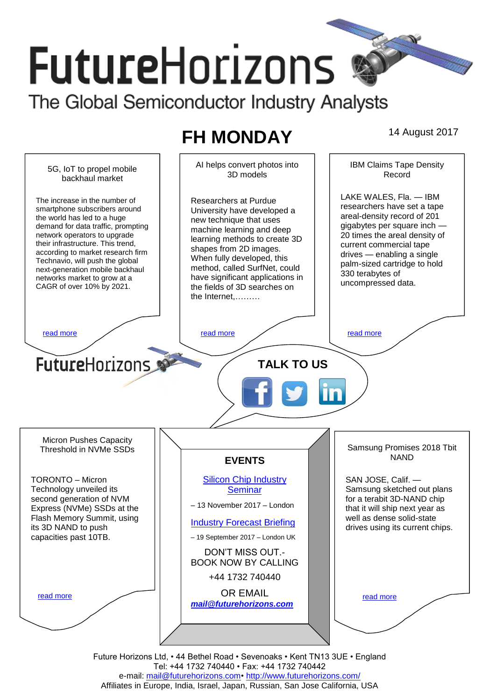# **FutureHorizons** The Global Semiconductor Industry Analysts

# **FH MONDAY** 14 August 2017

IBM Claims Tape Density AI helps convert photos into 5G, IoT to propel mobile 3D models Record backhaul market LAKE WALES, Fla. — IBM The increase in the number of Researchers at Purdue researchers have set a tape smartphone subscribers around University have developed a areal-density record of 201 the world has led to a huge new technique that uses demand for data traffic, prompting gigabytes per square inch machine learning and deep 20 times the areal density of network operators to upgrade learning methods to create 3D their infrastructure. This trend, current commercial tape shapes from 2D images. according to market research firm drives — enabling a single When fully developed, this Technavio, will push the global palm-sized cartridge to hold method, called SurfNet, could next-generation mobile backhaul 330 terabytes of have significant applications in networks market to grow at a uncompressed data. the fields of 3D searches on CAGR of over 10% by 2021. the Internet,……… [read more](#page-1-1) that the second contract the second contract of the read more that the read more that the read more **Future**Horizons **TALK TO US** Micron Pushes Capacity Samsung Promises 2018 Tbit Threshold in NVMe SSDs NAND **EVENTS** TORONTO – Micron [Silicon Chip Industry](http://www.futurehorizons.com/page/12/silicon-chip-training)  SAN JOSE, Calif. — Samsung sketched out plans Technology unveiled its **[Seminar](http://www.futurehorizons.com/page/12/silicon-chip-training)** for a terabit 3D-NAND chip second generation of NVM – 13 November 2017 – London Express (NVMe) SSDs at the that it will ship next year as Flash Memory Summit, using well as dense solid-state [Industry Forecast Briefing](http://www.futurehorizons.com/page/13/Semiconductor-Market-Forecast-Seminar) its 3D NAND to push drives using its current chips. capacities past 10TB.– 19 September 2017 – London UK DON'T MISS OUT.- BOOK NOW BY CALLING +44 1732 740440 OR EMAIL [read more](#page-1-3) [read more](#page-1-4) *[mail@futurehorizons.com](mailto:mail@futurehorizons.com)*

> Future Horizons Ltd, • 44 Bethel Road • Sevenoaks • Kent TN13 3UE • England Tel: +44 1732 740440 • Fax: +44 1732 740442 e-mail: mail@futurehorizons.com• http://www.futurehorizons.com/ Affiliates in Europe, India, Israel, Japan, Russian, San Jose California, USA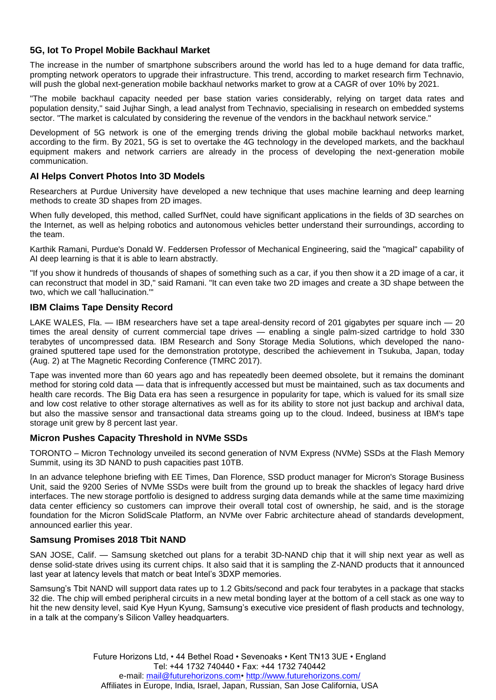## <span id="page-1-0"></span>**5G, Iot To Propel Mobile Backhaul Market**

The increase in the number of smartphone subscribers around the world has led to a huge demand for data traffic, prompting network operators to upgrade their infrastructure. This trend, according to market research firm Technavio, will push the global next-generation mobile backhaul networks market to grow at a CAGR of over 10% by 2021.

"The mobile backhaul capacity needed per base station varies considerably, relying on target data rates and population density," said Jujhar Singh, a lead analyst from Technavio, specialising in research on embedded systems sector. "The market is calculated by considering the revenue of the vendors in the backhaul network service."

Development of 5G network is one of the emerging trends driving the global mobile backhaul networks market, according to the firm. By 2021, 5G is set to overtake the 4G technology in the developed markets, and the backhaul equipment makers and network carriers are already in the process of developing the next-generation mobile communication.

#### <span id="page-1-2"></span>**AI Helps Convert Photos Into 3D Models**

Researchers at Purdue University have developed a new technique that uses machine learning and deep learning methods to create 3D shapes from 2D images.

When fully developed, this method, called SurfNet, could have significant applications in the fields of 3D searches on the Internet, as well as helping robotics and autonomous vehicles better understand their surroundings, according to the team.

Karthik Ramani, Purdue's Donald W. Feddersen Professor of Mechanical Engineering, said the "magical" capability of AI deep learning is that it is able to learn abstractly.

"If you show it hundreds of thousands of shapes of something such as a car, if you then show it a 2D image of a car, it can reconstruct that model in 3D," said Ramani. "It can even take two 2D images and create a 3D shape between the two, which we call 'hallucination.'"

#### <span id="page-1-1"></span>**IBM Claims Tape Density Record**

LAKE WALES, Fla. — IBM researchers have set a tape areal-density record of 201 gigabytes per square inch — 20 times the areal density of current commercial tape drives — enabling a single palm-sized cartridge to hold 330 terabytes of uncompressed data. IBM Research and Sony Storage Media Solutions, which developed the nanograined sputtered tape used for the demonstration prototype, described the achievement in Tsukuba, Japan, today (Aug. 2) at The Magnetic Recording Conference (TMRC 2017).

Tape was invented more than 60 years ago and has repeatedly been deemed obsolete, but it remains the dominant method for storing cold data — data that is infrequently accessed but must be maintained, such as tax documents and health care records. The Big Data era has seen a resurgence in popularity for tape, which is valued for its small size and low cost relative to other storage alternatives as well as for its ability to store not just backup and archival data, but also the massive sensor and transactional data streams going up to the cloud. Indeed, business at IBM's tape storage unit grew by 8 percent last year.

#### <span id="page-1-3"></span>**Micron Pushes Capacity Threshold in NVMe SSDs**

TORONTO – Micron Technology unveiled its second generation of NVM Express (NVMe) SSDs at the Flash Memory Summit, using its 3D NAND to push capacities past 10TB.

In an advance telephone briefing with EE Times, Dan Florence, SSD product manager for Micron's Storage Business Unit, said the 9200 Series of NVMe SSDs were built from the ground up to break the shackles of legacy hard drive interfaces. The new storage portfolio is designed to address surging data demands while at the same time maximizing data center efficiency so customers can improve their overall total cost of ownership, he said, and is the storage foundation for the Micron SolidScale Platform, an NVMe over Fabric architecture ahead of standards development, announced earlier this year.

### <span id="page-1-4"></span>**Samsung Promises 2018 Tbit NAND**

SAN JOSE, Calif. — Samsung sketched out plans for a terabit 3D-NAND chip that it will ship next year as well as dense solid-state drives using its current chips. It also said that it is sampling the Z-NAND products that it announced last year at latency levels that match or beat Intel's 3DXP memories.

Samsung's Tbit NAND will support data rates up to 1.2 Gbits/second and pack four terabytes in a package that stacks 32 die. The chip will embed peripheral circuits in a new metal bonding layer at the bottom of a cell stack as one way to hit the new density level, said Kye Hyun Kyung, Samsung's executive vice president of flash products and technology, in a talk at the company's Silicon Valley headquarters.